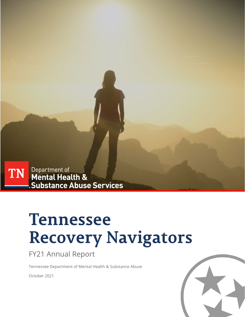

# **Tennessee Recovery Navigators**

### FY21 Annual Report

Tennessee Department of Mental Health & Substance Abuse

October 2021

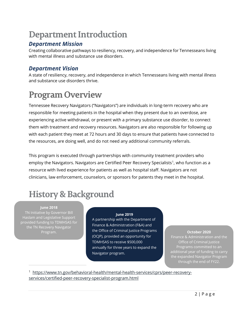### **Department Introduction**

#### *Department Mission*

Creating collaborative pathways to resiliency, recovery, and independence for Tennesseans living with mental illness and substance use disorders.

#### *Department Vision*

A state of resiliency, recovery, and independence in which Tennesseans living with mental illness and substance use disorders thrive.

## **Program Overview**

Tennessee Recovery Navigators ("Navigators") are individuals in long-term recovery who are responsible for meeting patients in the hospital when they present due to an overdose, are experiencing active withdrawal, or present with a primary substance use disorder, to connect them with treatment and recovery resources. Navigators are also responsible for following up with each patient they meet at 72 hours and 30 days to ensure that patients have connected to the resources, are doing well, and do not need any additional community referrals.

This program is executed through partnerships with community treatment providers who employ the Navigators. Navigators are Certified Peer Recovery Specialists<sup>[1](#page-1-0)</sup>, who function as a resource with lived experience for patients as well as hospital staff. Navigators are not clinicians, law enforcement, counselors, or sponsors for patents they meet in the hospital.

### **History & Background**

**June 2018** TN Initiative by Governor Bill Haslam and Legislative Support provided funding to TDMHSAS for the TN Recovery Navigator Program.

#### **June 2019**

**The Together Prior is a to the expanded**<br> **The expanded**<br> **The expanded**<br> **The expanded**<br> **The expanded** A partnership with the Department of Finance & Administration (F&A) and the Office of Criminal Justice Programs (OCJP), provided an opportunity for TDMHSAS to receive \$500,000 annually for three years to expand the Navigator program.

#### **October 2020**

Office of Criminal Justice Programs committed to an additional year of funding to carry the expanded Navigator Program through the end of FY22.

<span id="page-1-0"></span><sup>1</sup> [https://www.tn.gov/behavioral-health/mental-health-services/cprs/peer-recovery](https://www.tn.gov/behavioral-health/mental-health-services/cprs/peer-recovery-services/certified-peer-recovery-specialist-program.html)[services/certified-peer-recovery-specialist-program.html](https://www.tn.gov/behavioral-health/mental-health-services/cprs/peer-recovery-services/certified-peer-recovery-specialist-program.html)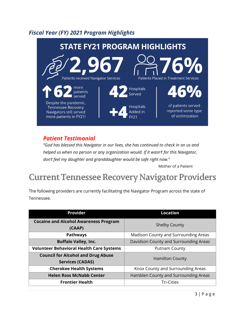### *Fiscal Year (FY) 2021 Program Highlights*



#### *Patient Testimonial*

*"God has blessed this Navigator in our lives, she has continued to check in on us and helped us when no person or any organization would. If it wasn't for this Navigator, don't feel my daughter and granddaughter would be safe right now."*

Mother of a Patient

### **Current Tennessee Recovery Navigator Providers**

The following providers are currently facilitating the Navigator Program across the state of Tennessee.

| Provider                                                             | <b>Location</b>                       |
|----------------------------------------------------------------------|---------------------------------------|
| <b>Cocaine and Alcohol Awareness Program</b><br>(CAAP)               | <b>Shelby County</b>                  |
| <b>Pathways</b>                                                      | Madison County and Surrounding Areas  |
| <b>Buffalo Valley, Inc.</b>                                          | Davidson County and Surrounding Areas |
| <b>Volunteer Behavioral Health Care Systems</b>                      | <b>Putnam County</b>                  |
| <b>Council for Alcohol and Drug Abuse</b><br><b>Services (CADAS)</b> | <b>Hamilton County</b>                |
| <b>Cherokee Health Systems</b>                                       | Knox County and Surrounding Areas     |
| <b>Helen Ross McNabb Center</b>                                      | Hamblen County and Surrounding Areas  |
| <b>Frontier Health</b>                                               | <b>Tri-Cities</b>                     |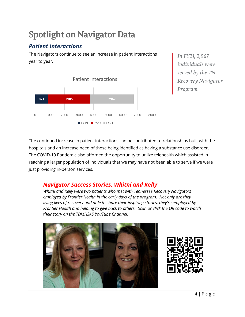# **Spotlight on Navigator Data**

### *Patient Interactions*

The Navigators continue to see an increase in patient interactions year to year.



*In FY21, 2,967 individuals were served by the TN Recovery Navigator Program.*

The continued increase in patient interactions can be contributed to relationships built with the hospitals and an increase need of those being identified as having a substance use disorder. The COVID-19 Pandemic also afforded the opportunity to utilize telehealth which assisted in reaching a larger population of individuals that we may have not been able to serve if we were just providing in-person services.

#### *Navigator Success Stories: Whitni and Kelly*

*Whitni and Kelly were two patients who met with Tennessee Recovery Navigators employed by Frontier Health in the early days of the program. Not only are they living lives of recovery and able to share their inspiring stories, they're employed by Frontier Health and helping to give back to others. Scan or click the QR code to watch their story on the TDMHSAS YouTube Channel.*



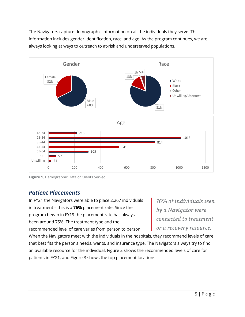The Navigators capture demographic information on all the individuals they serve. This information includes gender identification, race, and age. As the program continues, we are always looking at ways to outreach to at-risk and underserved populations.



**Figure 1.** Demographic Data of Clients Served

#### *Patient Placements*

In FY21 the Navigators were able to place 2,267 individuals in treatment – this is a **76%** placement rate. Since the program began in FY19 the placement rate has always been around 75%. The treatment type and the recommended level of care varies from person to person.

*76% of individuals seen by a Navigator were connected to treatment or a recovery resource.*

When the Navigators meet with the individuals in the hospitals, they recommend levels of care that best fits the person's needs, wants, and insurance type. The Navigators always try to find an available resource for the individual. Figure 2 shows the recommended levels of care for patients in FY21, and Figure 3 shows the top placement locations.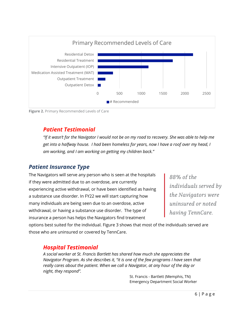

**Figure 2.** Primary Recommended Levels of Care

#### *Patient Testimonial*

*"If it wasn't for the Navigator I would not be on my road to recovery. She was able to help me get into a halfway house. I had been homeless for years, now I have a roof over my head, I am working, and I am working on getting my children back."*

#### *Patient Insurance Type*

The Navigators will serve any person who is seen at the hospitals if they were admitted due to an overdose, are currently experiencing active withdrawal, or have been identified as having a substance use disorder. In FY22 we will start capturing how many individuals are being seen due to an overdose, active withdrawal, or having a substance use disorder. The type of insurance a person has helps the Navigators find treatment

*88% of the individuals served by the Navigators were uninsured or noted having TennCare.* 

options best suited for the individual. Figure 3 shows that most of the individuals served are those who are uninsured or covered by TennCare.

#### *Hospital Testimonial*

*A social worker at St. Francis Bartlett has shared how much she appreciates the Navigator Program. As she describes it, "it is one of the few programs I have seen that*  really cares about the patient. When we call a Navigator, at any hour of the day or *night, they respond".*

> St. Francis - Bartlett (Memphis, TN) Emergency Department Social Worker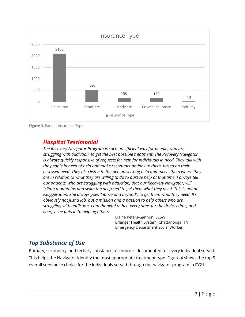

**Figure 3. Patient Insurance Type** 

#### *Hospital Testimonial*

*The Recovery Navigator Program is such an efficient way for people, who are struggling with addiction, to get the best possible treatment. The Recovery Navigator is always quickly responsive of requests for help for individuals in need. They talk with the people in need of help and make recommendations to them, based on their assessed need. They also listen to the person seeking help and meets them where they are in relation to what they are willing to do to pursue help at that time. I always tell our patients, who are struggling with addiction, that our Recovery Navigator, will "climb mountains and swim the deep sea" to get them what they need. This is not an exaggeration. She always goes "above and beyond", to get them what they need. It's obviously not just a job, but a mission and a passion to help others who are struggling with addiction. I am thankful to her, every time, for the tireless time, and energy she puts in to helping others.*

> Elaine Peters-Gannon, LCSW Erlanger Health System (Chattanooga, TN) Emergency Department Social Worker

#### *Top Substance of Use*

Primary, secondary, and tertiary substance of choice is documented for every individual served. This helps the Navigator identify the most appropriate treatment type. Figure 4 shows the top 5 overall substance choice for the individuals served through the navigator program in FY21.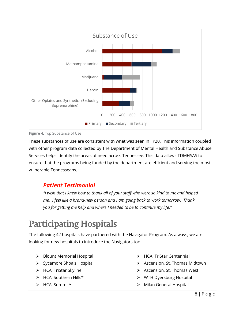

**Figure 4.** Top Substance of Use

These substances of use are consistent with what was seen in FY20. This information coupled with other program data collected by The Department of Mental Health and Substance Abuse Services helps identify the areas of need across Tennessee. This data allows TDMHSAS to ensure that the programs being funded by the department are efficient and serving the most vulnerable Tennesseans.

#### *Patient Testimonial*

*"I wish that I knew how to thank all of your staff who were so kind to me and helped me. I feel like a brand-new person and I am going back to work tomorrow. Thank you for getting me help and where I needed to be to continue my life."*

### **Participating Hospitals**

The following 42 hospitals have partnered with the Navigator Program. As always, we are looking for new hospitals to introduce the Navigators too.

- $\triangleright$  Blount Memorial Hospital
- $\triangleright$  Sycamore Shoals Hospital
- > HCA, TriStar Skyline
- > HCA, Southern Hills\*
- > HCA, Summit\*
- > HCA, TriStar Centennial
- Ascension, St. Thomas Midtown
- ▶ Ascension, St. Thomas West
- $\triangleright$  WTH Dyersburg Hospital
- ▶ Milan General Hospital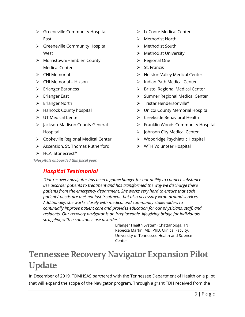- $\triangleright$  Greeneville Community Hospital East
- $\triangleright$  Greeneville Community Hospital **West**
- Morristown/Hamblen County Medical Center
- $\triangleright$  CHI Memorial
- $\triangleright$  CHI Memorial Hixson
- **►** Erlanger Baroness
- Erlanger East
- $\triangleright$  Erlanger North
- $\triangleright$  Hancock County hospital
- $\triangleright$  UT Medical Center
- Jackson-Madison County General Hospital
- Cookeville Regional Medical Center
- $\triangleright$  Ascension, St. Thomas Rutherford
- > HCA, Stonecrest\*

*\*Hospitals onboarded this fiscal year.*

#### *Hospital Testimonial*

- **EXECONTE Medical Center**
- $\triangleright$  Methodist North
- $\triangleright$  Methodist South
- Methodist University
- $\triangleright$  Regional One
- $\triangleright$  St. Francis
- $\triangleright$  Holston Valley Medical Center
- $\triangleright$  Indian Path Medical Center
- $\triangleright$  Bristol Regional Medical Center
- $\triangleright$  Sumner Regional Medical Center
- $\triangleright$  Tristar Hendersonville\*
- Unicoi County Memorial Hospital
- $\triangleright$  Creekside Behavioral Health
- $\triangleright$  Franklin Woods Community Hospital
- > Johnson City Medical Center
- Woodridge Psychiatric Hospital
- WTH Volunteer Hospital

*"Our recovery navigator has been a gamechanger for our ability to connect substance use disorder patients to treatment and has transformed the way we discharge these patients from the emergency department. She works very hard to ensure that each patients' needs are met-not just treatment, but also necessary wrap-around services. Additionally, she works closely with medical and community stakeholders to continually improve patient care and provides education for our physicians, staff, and residents. Our recovery navigator is an irreplaceable, life-giving bridge for individuals struggling with a substance use disorder."*

Erlanger Health System (Chattanooga, TN) Rebecca Martin, MD, PhD, Clinical Faculty, University of Tennessee Health and Science Center

### **Tennessee Recovery Navigator Expansion Pilot Update**

In December of 2019, TDMHSAS partnered with the Tennessee Department of Health on a pilot that will expand the scope of the Navigator program. Through a grant TDH received from the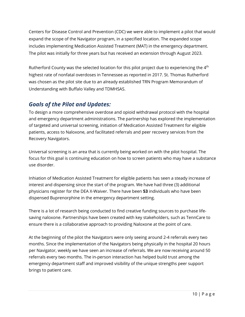Centers for Disease Control and Prevention (CDC) we were able to implement a pilot that would expand the scope of the Navigator program, in a specified location. The expanded scope includes implementing Medication Assisted Treatment (MAT) in the emergency department. The pilot was initially for three years but has received an extension through August 2023.

Rutherford County was the selected location for this pilot project due to experiencing the  $4<sup>th</sup>$ highest rate of nonfatal overdoses in Tennessee as reported in 2017. St. Thomas Rutherford was chosen as the pilot site due to an already established TRN Program Memorandum of Understanding with Buffalo Valley and TDMHSAS.

#### *Goals of the Pilot and Updates:*

To design a more comprehensive overdose and opioid withdrawal protocol with the hospital and emergency department administrations. The partnership has explored the implementation of targeted and universal screening, initiation of Medication Assisted Treatment for eligible patients, access to Naloxone, and facilitated referrals and peer recovery services from the Recovery Navigators.

Universal screening is an area that is currently being worked on with the pilot hospital. The focus for this goal is continuing education on how to screen patients who may have a substance use disorder.

Inhiation of Medication Assisted Treatment for eligible patients has seen a steady increase of interest and dispensing since the start of the program. We have had three (3) additional physicians register for the DEA X-Waiver. There have been **53** individuals who have been dispensed Buprenorphine in the emergency department setting.

There is a lot of research being conducted to find creative funding sources to purchase lifesaving naloxone. Partnerships have been created with key stakeholders, such as TennCare to ensure there is a collaborative approach to providing Naloxone at the point of care.

At the beginning of the pilot the Navigators were only seeing around 2-4 referrals every two months. Since the implementation of the Navigators being physically in the hospital 20 hours per Navigator, weekly we have seen an increase of referrals. We are now receiving around 50 referrals every two months. The in-person interaction has helped build trust among the emergency department staff and improved visibility of the unique strengths peer support brings to patient care.